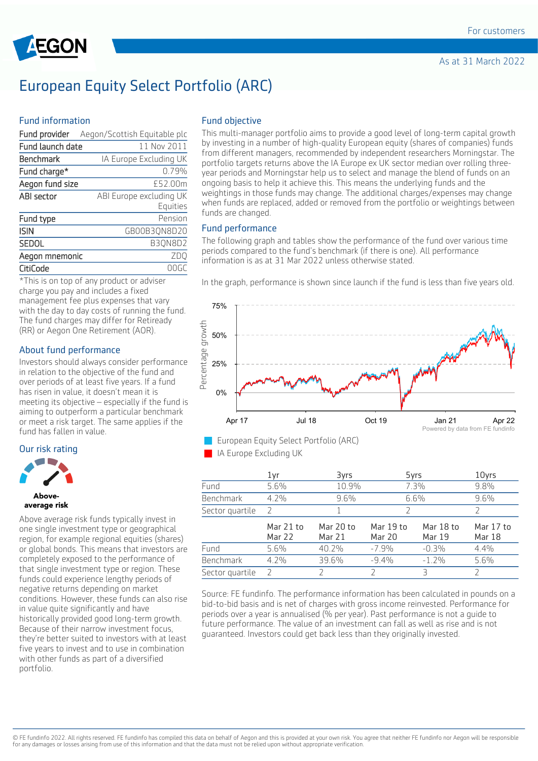

# European Equity Select Portfolio (ARC)

#### Fund information

| Fund provider    | Aegon/Scottish Equitable plc        |
|------------------|-------------------------------------|
| Fund launch date | 11 Nov 2011                         |
| Benchmark        | IA Europe Excluding UK              |
| Fund charge*     | 0.79%                               |
| Aegon fund size  | £52.00m                             |
| ABI sector       | ABI Europe excluding UK<br>Equities |
| Fund type        | Pension                             |
| <b>ISIN</b>      | GB00B3QN8D20                        |
| SEDOL            | B3QN8D2                             |
| Aegon mnemonic   | ZDQ                                 |
| CitiCode         |                                     |

\*This is on top of any product or adviser charge you pay and includes a fixed management fee plus expenses that vary with the day to day costs of running the fund. The fund charges may differ for Retiready (RR) or Aegon One Retirement (AOR).

# About fund performance

Investors should always consider performance in relation to the objective of the fund and over periods of at least five years. If a fund has risen in value, it doesn't mean it is meeting its objective – especially if the fund is aiming to outperform a particular benchmark or meet a risk target. The same applies if the fund has fallen in value.

#### Our risk rating



# average risk

Above average risk funds typically invest in one single investment type or geographical region, for example regional equities (shares) or global bonds. This means that investors are completely exposed to the performance of that single investment type or region. These funds could experience lengthy periods of negative returns depending on market conditions. However, these funds can also rise in value quite significantly and have historically provided good long-term growth. Because of their narrow investment focus, they're better suited to investors with at least five years to invest and to use in combination with other funds as part of a diversified portfolio.

### Fund objective

This multi-manager portfolio aims to provide a good level of long-term capital growth by investing in a number of high-quality European equity (shares of companies) funds from different managers, recommended by independent researchers Morningstar. The portfolio targets returns above the IA Europe ex UK sector median over rolling threeyear periods and Morningstar help us to select and manage the blend of funds on an ongoing basis to help it achieve this. This means the underlying funds and the weightings in those funds may change. The additional charges/expenses may change when funds are replaced, added or removed from the portfolio or weightings between funds are changed.

#### Fund performance

The following graph and tables show the performance of the fund over various time periods compared to the fund's benchmark (if there is one). All performance information is as at 31 Mar 2022 unless otherwise stated.

In the graph, performance is shown since launch if the fund is less than five years old.





IA Europe Excluding UK

|                  | 1yr                        | 3yrs                | 5yrs                |                     | 10yrs               |
|------------------|----------------------------|---------------------|---------------------|---------------------|---------------------|
| Fund             | 5.6%                       | 10.9%               |                     | 7.3%                | 9.8%                |
| <b>Benchmark</b> | $4.2\%$                    | 9.6%                | 6.6%                |                     | 9.6%                |
| Sector quartile  | 2                          |                     |                     |                     |                     |
|                  | Mar 21 to<br><b>Mar 22</b> | Mar 20 to<br>Mar 21 | Mar 19 to<br>Mar 20 | Mar 18 to<br>Mar 19 | Mar 17 to<br>Mar 18 |
| Fund             | 5.6%                       | 40.2%               | $-7.9%$             | $-0.3%$             | 4.4%                |
| <b>Benchmark</b> | $4.2\%$                    | 39.6%               | $-9.4%$             | $-1.2%$             | 5.6%                |
| Sector quartile  |                            |                     |                     | Ρ                   |                     |

Source: FE fundinfo. The performance information has been calculated in pounds on a bid-to-bid basis and is net of charges with gross income reinvested. Performance for periods over a year is annualised (% per year). Past performance is not a guide to future performance. The value of an investment can fall as well as rise and is not guaranteed. Investors could get back less than they originally invested.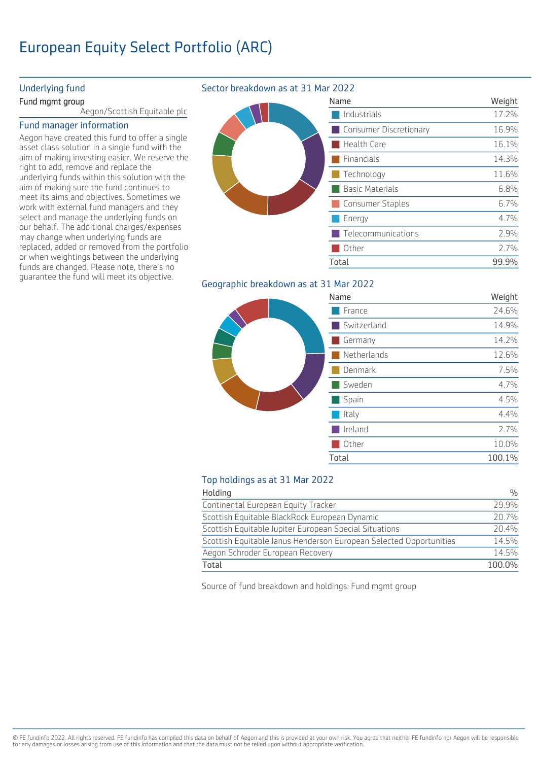# European Equity Select Portfolio (ARC)

### Underlying fund

#### Fund mgmt group

Aegon/Scottish Equitable plc

#### Fund manager information

Aegon have created this fund to offer a single asset class solution in a single fund with the aim of making investing easier. We reserve the right to add, remove and replace the underlying funds within this solution with the aim of making sure the fund continues to meet its aims and objectives. Sometimes we work with external fund managers and they select and manage the underlying funds on our behalf. The additional charges/expenses may change when underlying funds are replaced, added or removed from the portfolio or when weightings between the underlying funds are changed. Please note, there's no guarantee the fund will meet its objective.

# Sector breakdown as at 31 Mar 2022

|  | Name                   | Weight    |
|--|------------------------|-----------|
|  | Industrials            | 17.2%     |
|  | Consumer Discretionary | 16.9%     |
|  | Health Care            | 16.1%     |
|  | Financials             | 14.3%     |
|  | Technology             | 11.6%     |
|  | <b>Basic Materials</b> | 6.8%      |
|  | Consumer Staples       | 6.7%      |
|  | Energy                 | 4.7%      |
|  | Telecommunications     | 2.9%      |
|  | Other                  | 2.7%      |
|  | Total                  | $QQQQQ_0$ |

# Geographic breakdown as at 31 Mar 2022

|  | Name        | Weight |
|--|-------------|--------|
|  | France      | 24.6%  |
|  | Switzerland | 14.9%  |
|  | Germany     | 14.2%  |
|  | Netherlands | 12.6%  |
|  | Denmark     | 7.5%   |
|  | Sweden      | 4.7%   |
|  | Spain       | 4.5%   |
|  | Italy       | 4.4%   |
|  | Ireland     | 2.7%   |
|  | Other       | 10.0%  |
|  | Total       | 100.1% |
|  |             |        |

Weight

99.9%

# Top holdings as at 31 Mar 2022

| Holding                                                            | $\frac{0}{0}$ |
|--------------------------------------------------------------------|---------------|
| Continental European Equity Tracker                                | 29 9%         |
| Scottish Equitable BlackRock European Dynamic                      | 20.7%         |
| Scottish Equitable Jupiter European Special Situations             | 20.4%         |
| Scottish Equitable Janus Henderson European Selected Opportunities | 14.5%         |
| Aegon Schroder European Recovery                                   | 14.5%         |
| Total                                                              | 100.0%        |

Source of fund breakdown and holdings: Fund mgmt group